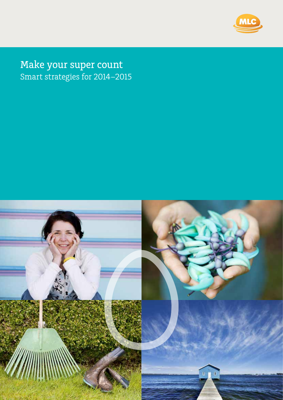

Make your super count Smart strategies for 2014–2015

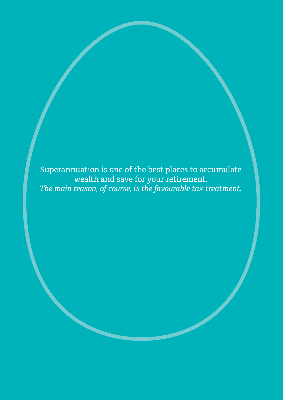Superannuation is one of the best places to accumulate wealth and save for your retirement. *The main reason, of course, is the favourable tax treatment.*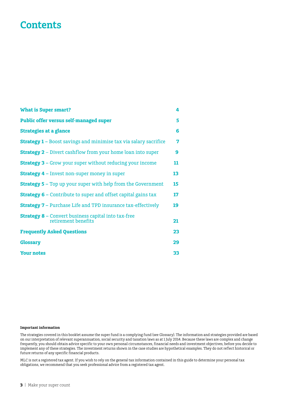# **Contents**

| <b>What is Super smart?</b>                                                       | 4  |
|-----------------------------------------------------------------------------------|----|
| <b>Public offer versus self-managed super</b>                                     | 5  |
| <b>Strategies at a glance</b>                                                     | 6  |
| <b>Strategy 1 - Boost savings and minimise tax via salary sacrifice</b>           | 7  |
| <b>Strategy 2</b> – Divert cashflow from your home loan into super                | 9  |
| <b>Strategy 3 - Grow your super without reducing your income</b>                  | 11 |
| <b>Strategy 4 - Invest non-super money in super</b>                               | 13 |
| <b>Strategy 5 - Top up your super with help from the Government</b>               | 15 |
| <b>Strategy 6 - Contribute to super and offset capital gains tax</b>              | 17 |
| <b>Strategy 7 - Purchase Life and TPD insurance tax-effectively</b>               | 19 |
| <b>Strategy 8 - Convert business capital into tax-free</b><br>retirement benefits | 21 |
| <b>Frequently Asked Questions</b>                                                 | 23 |
| <b>Glossary</b>                                                                   | 29 |
| <b>Your notes</b>                                                                 | 33 |

#### **Important information**

The strategies covered in this booklet assume the super fund is a complying fund (see Glossary). The information and strategies provided are based on our interpretation of relevant superannuation, social security and taxation laws as at 1 July 2014. Because these laws are complex and change frequently, you should obtain advice specific to your own personal circumstances, financial needs and investment objectives, before you decide to implement any of these strategies. The investment returns shown in the case studies are hypothetical examples. They do not reflect historical or future returns of any specific financial products.

MLC is not a registered tax agent. If you wish to rely on the general tax information contained in this guide to determine your personal tax obligations, we recommend that you seek professional advice from a registered tax agent.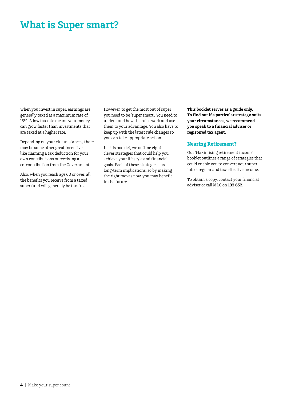# **What is Super smart?**

When you invest in super, earnings are generally taxed at a maximum rate of 15%. A low tax rate means your money can grow faster than investments that are taxed at a higher rate.

Depending on your circumstances, there may be some other great incentives – like claiming a tax deduction for your own contributions or receiving a co-contribution from the Government.

Also, when you reach age 60 or over, all the benefits you receive from a taxed super fund will generally be tax-free.

However, to get the most out of super you need to be 'super smart'. You need to understand how the rules work and use them to your advantage. You also have to keep up with the latest rule changes so you can take appropriate action.

In this booklet, we outline eight clever strategies that could help you achieve your lifestyle and financial goals. Each of these strategies has long-term implications, so by making the right moves now, you may benefit in the future.

**This booklet serves as a guide only. To find out if a particular strategy suits your circumstances, we recommend you speak to a financial adviser or registered tax agent.**

#### **Nearing Retirement?**

Our 'Maximising retirement income' booklet outlines a range of strategies that could enable you to convert your super into a regular and tax-effective income.

To obtain a copy, contact your financial adviser or call MLC on **132 652.**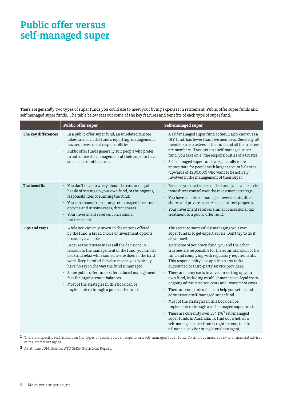# **Public offer versus self-managed super**

There are generally two types of super funds you could use to meet your living expenses in retirement. Public offer super funds and self managed super funds. The table below sets out some of the key features and benefits of each type of super fund.

|                       | <b>Public offer super</b>                                                                                                                                                                                                                                                                                                                                                                                                                                                                                                                                                                    | Self-managed super                                                                                                                                                                                                                                                                                                                                                                                                                                                                                                                                                                                                                                                                                                                                                                                                                                                                                                                                                                                                        |
|-----------------------|----------------------------------------------------------------------------------------------------------------------------------------------------------------------------------------------------------------------------------------------------------------------------------------------------------------------------------------------------------------------------------------------------------------------------------------------------------------------------------------------------------------------------------------------------------------------------------------------|---------------------------------------------------------------------------------------------------------------------------------------------------------------------------------------------------------------------------------------------------------------------------------------------------------------------------------------------------------------------------------------------------------------------------------------------------------------------------------------------------------------------------------------------------------------------------------------------------------------------------------------------------------------------------------------------------------------------------------------------------------------------------------------------------------------------------------------------------------------------------------------------------------------------------------------------------------------------------------------------------------------------------|
| The key differences   | • In a public offer super fund, an unrelated trustee<br>takes care of all the fund's reporting, management,<br>tax and investment responsibilities.<br>• Public offer funds generally suit people who prefer<br>to outsource the management of their super or have<br>smaller account balances.                                                                                                                                                                                                                                                                                              | • A self-managed super fund or SMSF, also known as a<br>DIY fund, has fewer than five members. Generally, all<br>members are trustees of the fund and all the trustees<br>are members. If you set up a self-managed super<br>fund, you take on all the responsibilities of a trustee.<br>• Self-managed super funds are generally more<br>appropriate for people with larger account balances<br>(upwards of \$200,000) who want to be actively<br>involved in the management of their super.                                                                                                                                                                                                                                                                                                                                                                                                                                                                                                                             |
| The benefits          | • You don't have to worry about the cost and legal<br>hassle of setting up your own fund, or the ongoing<br>responsibilities of running the fund.<br>• You can choose from a range of managed investment<br>options and in some cases, direct shares.<br>• Your investment receives concessional<br>tax treatment.                                                                                                                                                                                                                                                                           | • Because you're a trustee of the fund, you can exercise<br>more direct control over the investment strategy.<br>• You have a choice of managed investments, direct<br>shares and private assets <sup>1</sup> such as direct property.<br>• Your investment receives similar concessional tax<br>treatment to a public offer fund.                                                                                                                                                                                                                                                                                                                                                                                                                                                                                                                                                                                                                                                                                        |
| <b>Tips and traps</b> | • While you can only invest in the options offered<br>by the fund, a broad choice of investment options<br>is usually available.<br>• Because the trustee makes all the decisions in<br>relation to the management of the fund, you can sit<br>back and relax while someone else does all the hard<br>work. Keep in mind this also means you typically<br>have no say in the way the fund is managed.<br>· Some public offer funds offer reduced management<br>fees for larger account balances.<br>• Most of the strategies in this book can be<br>implemented through a public offer fund. | • The secret to successfully managing your own<br>super fund is to get expert advice. Don't try to do it<br>all yourself.<br>• As trustee of your own fund, you and the other<br>trustees are responsible for the administration of the<br>fund and complying with regulatory requirements.<br>This responsibility also applies to any tasks<br>outsourced to third-party service providers.<br>• There are many costs involved in setting up your<br>own fund, including establishment costs, legal costs,<br>ongoing administration costs and investment costs.<br>• There are companies that can help you set up and<br>administer a self-managed super fund.<br>• Most of the strategies in this book can be<br>implemented through a self-managed super fund.<br>• There are currently over 534,176 <sup>2</sup> self-managed<br>super funds in Australia. To find out whether a<br>self-managed super fund is right for you, talk to<br>a financial adviser or registered tax agent.<br>$\sim$ $\sim$ $\sim$ $\sim$ |

**1** There are specific restrictions on the types of assets you can acquire in a self-managed super fund. To find out more, speak to a financial adviser or registered tax agent.

**2** As at June 2014. Source: ATO SMSF Statistical Report.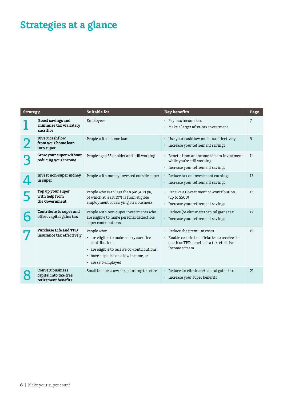# **Strategies at a glance**

| <b>Strategy</b> |                                                                         | <b>Suitable for</b>                                                                                                                                                                 | <b>Key benefits</b>                                                                                                                     | Page |
|-----------------|-------------------------------------------------------------------------|-------------------------------------------------------------------------------------------------------------------------------------------------------------------------------------|-----------------------------------------------------------------------------------------------------------------------------------------|------|
|                 | Boost savings and<br>minimise tax via salary<br>sacrifice               | Employees                                                                                                                                                                           | • Pay less income tax<br>• Make a larger after-tax investment                                                                           | 7    |
|                 | Divert cashflow<br>from your home loan<br>into super                    | People with a home loan                                                                                                                                                             | • Use your cashflow more tax-effectively<br>• Increase your retirement savings                                                          | 9    |
|                 | Grow your super without<br>reducing your income                         | People aged 55 or older and still working                                                                                                                                           | • Benefit from an income stream investment<br>while you're still working<br>• Increase your retirement savings                          | 11   |
|                 | Invest non-super money<br>in super                                      | People with money invested outside super                                                                                                                                            | • Reduce tax on investment earnings<br>• Increase your retirement savings                                                               | 13   |
|                 | Top up your super<br>with help from<br>the Government                   | People who earn less than \$49,488 pa,<br>of which at least 10% is from eligible<br>employment or carrying on a business                                                            | • Receive a Government co-contribution<br>(up to \$500)<br>• Increase your retirement savings                                           | 15   |
|                 | Contribute to super and<br>offset capital gains tax                     | People with non-super investments who<br>are eligible to make personal deductible<br>super contributions                                                                            | • Reduce (or eliminate) capital gains tax<br>• Increase your retirement savings                                                         | 17   |
|                 | <b>Purchase Life and TPD</b><br>insurance tax effectively               | People who:<br>• are eligible to make salary sacrifice<br>contributions<br>• are eligible to receive co-contributions<br>• have a spouse on a low income, or<br>• are self-employed | • Reduce the premium costs<br>• Enable certain beneficiaries to receive the<br>death or TPD benefit as a tax-effective<br>income stream | 19   |
|                 | <b>Convert business</b><br>capital into tax-free<br>retirement benefits | Small business owners planning to retire                                                                                                                                            | • Reduce (or eliminate) capital gains tax<br>• Increase your super benefits                                                             | 21   |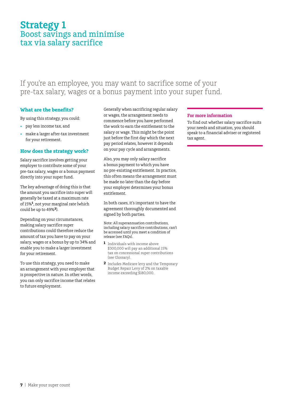## **Strategy 1** Boost savings and minimise tax via salary sacrifice

### If you're an employee, you may want to sacrifice some of your pre-tax salary, wages or a bonus payment into your super fund.

#### **What are the benefits?**

By using this strategy, you could:

- • pay less income tax, and
- make a larger after-tax investment for your retirement.

#### **How does the strategy work?**

Salary sacrifice involves getting your employer to contribute some of your pre-tax salary, wages or a bonus payment directly into your super fund.

The key advantage of doing this is that the amount you sacrifice into super will generally be taxed at a maximum rate of 15%**1**, not your marginal rate (which could be up to 49%**2**).

Depending on your circumstances, making salary sacrifice super contributions could therefore reduce the amount of tax you have to pay on your salary, wages or a bonus by up to 34% and enable you to make a larger investment for your retirement.

To use this strategy, you need to make an arrangement with your employer that is prospective in nature. In other words, you can only sacrifice income that relates to future employment.

Generally when sacrificing regular salary or wages, the arrangement needs to commence before you have performed the work to earn the entitlement to the salary or wage. This might be the point just before the first day which the next pay period relates, however it depends on your pay cycle and arrangements.

Also, you may only salary sacrifice a bonus payment to which you have no pre-existing entitlement. In practice, this often means the arrangement must be made no later than the day before your employer determines your bonus entitlement.

In both cases, it's important to have the agreement thoroughly documented and signed by both parties.

Note: All superannuation contributions, including salary sacrifice contributions, can't be accessed until you meet a condition of release (see FAQs).

- **1** Individuals with income above \$300,000 will pay an additional 15% tax on concessional super contributions (see Glossary).
- **2** Includes Medicare levy and the Temporary Budget Repair Levy of 2% on taxable income exceeding \$180,000.

#### **For more information**

To find out whether salary sacrifice suits your needs and situation, you should speak to a financial adviser or registered tax agent.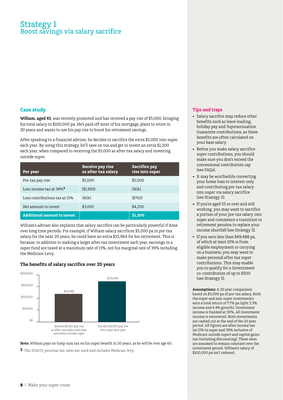### Strategy 1 Boost savings via salary sacrifice

#### **Case study**

**William, aged 45**, was recently promoted and has received a pay rise of \$5,000, bringing his total salary to \$100,000 pa. He's paid off most of his mortgage, plans to retire in 20 years and wants to use his pay rise to boost his retirement savings.

After speaking to a financial adviser, he decides to sacrifice the extra \$5,000 into super each year. By using this strategy, he'll save on tax and get to invest an extra \$1,200 each year, when compared to receiving the \$5,000 as after-tax salary and investing outside super.

| Per year                            | Receive pay rise<br>as after-tax salary | <b>Sacrifice pay</b><br>rise into super |
|-------------------------------------|-----------------------------------------|-----------------------------------------|
| Pre-tax pay rise                    | \$5,000                                 | \$5,000                                 |
| Less income tax at 39% <sup>3</sup> | ( \$1,950)                              | (N/A)                                   |
| Less contributions tax at 15%       | (N/A)                                   | (5750)                                  |
| Net amount to invest                | \$3,050                                 | \$4,250                                 |
| <b>Additional amount to invest</b>  |                                         | \$1,200                                 |

William's adviser also explains that salary sacrifice can be particularly powerful if done over long time periods. For example, if William salary sacrifices \$5,000 pa in pre-tax salary for the next 20 years, he could have an extra \$55,964 for his retirement. This is because, in addition to making a larger after-tax investment each year, earnings in a super fund are taxed at a maximum rate of 15%, not his marginal rate of 39% including the Medicare Levy.

#### **The benefits of salary sacrifice over 20 years**



**Note:** William pays no lump sum tax on his super benefit in 20 years, as he will be over age 60.

**3** The 2014/15 personal tax rates are used and includes Medicare levy.

#### **Tips and traps**

- Salary sacrifice may reduce other benefits such as leave loading, holiday pay and Superannuation Guarantee contributions, as these benefits are often calculated on your base salary.
- • Before you make salary sacrifice super contributions, you should make sure you don't exceed the concessional contribution cap (see FAQs).
- It may be worthwhile converting your home loan to interest-only and contributing pre-tax salary into super via salary sacrifice (see Strategy 2).
- If you're aged 55 or over and still working, you may want to sacrifice a portion of your pre-tax salary into super and commence a transition to retirement pension to replace your income shortfall (see Strategy 3).
- If you earn less than \$49,488 pa, of which at least 10% is from eligible employment or carrying on a business, you may want to make personal after-tax super contributions. This may enable you to qualify for a Government co-contribution of up to \$500 (see Strategy 5).

**Assumptions:** A 20 year comparison based on \$5,000 pa of pre-tax salary. Both the super and non-super investments earn a total return of 7.7% pa (split 3.3% income and 4.4% growth). Investment income is franked at 30%. All investment income is reinvested. Both investments are cashed out at the end of the 20 year period. All figures are after income tax (at 15% in super and 39% inclusive of Medicare outside super) and capital gains tax (including discounting). These rates are assumed to remain constant over the investment period. William's salary of \$100,000 pa isn't indexed.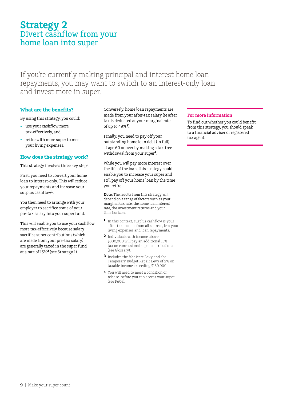## **Strategy 2** Divert cashflow from your home loan into super

If you're currently making principal and interest home loan repayments, you may want to switch to an interest-only loan and invest more in super.

#### **What are the benefits?**

By using this strategy, you could:

- use your cashflow more tax-effectively, and
- retire with more super to meet your living expenses.

#### **How does the strategy work?**

This strategy involves three key steps.

First, you need to convert your home loan to interest-only. This will reduce your repayments and increase your surplus cashflow**1**.

You then need to arrange with your employer to sacrifice some of your pre-tax salary into your super fund.

This will enable you to use your cashflow more tax-effectively because salary sacrifice super contributions (which are made from your pre-tax salary) are generally taxed in the super fund at a rate of 15%**2** (see Strategy 1).

Conversely, home loan repayments are made from your after-tax salary (ie after tax is deducted at your marginal rate of up to 49%**<sup>3</sup>**).

Finally, you need to pay off your outstanding home loan debt (in full) at age 60 or over by making a tax-free withdrawal from your super**<sup>4</sup>**.

While you will pay more interest over the life of the loan, this strategy could enable you to increase your super and still pay off your home loan by the time you retire.

**Note:** The results from this strategy will depend on a range of factors such as your marginal tax rate, the home loan interest rate, the investment returns and your time horizon.

- **1** In this context, surplus cashflow is your after-tax income from all sources, less your living expenses and loan repayments.
- **2** Individuals with income above \$300,000 will pay an additional 15% tax on concessional super contributions (see Glossary).
- **3** Includes the Medicare Levy and the Temporary Budget Repair Levy of 2% on taxable income exceeding \$180,000.
- **4** You will need to meet a condition of release before you can access your super. (see FAQs).

#### **For more information**

To find out whether you could benefit from this strategy, you should speak to a financial adviser or registered tax agent.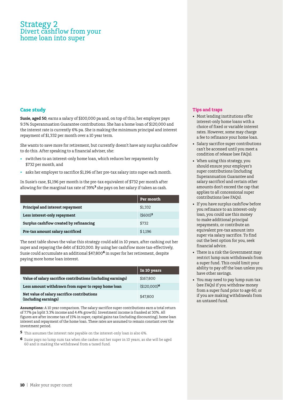### Strategy 2 Divert cashflow from your home loan into super

#### **Case study**

**Susie, aged 50**, earns a salary of \$100,000 pa and, on top of this, her employer pays 9.5% Superannuation Guarantee contributions. She has a home loan of \$120,000 and the interest rate is currently 6% pa. She is making the minimum principal and interest repayment of \$1,332 per month over a 10 year term.

She wants to save more for retirement, but currently doesn't have any surplus cashflow to do this. After speaking to a financial adviser, she:

- switches to an interest-only home loan, which reduces her repayments by \$732 per month, and
- • asks her employer to sacrifice \$1,196 of her pre-tax salary into super each month.

In Susie's case, \$1,196 per month is the pre-tax equivalent of \$732 per month after allowing for the marginal tax rate of 39%**3** she pays on her salary if taken as cash.

|                                         | Per month  |
|-----------------------------------------|------------|
| Principal and interest repayment        | \$1,332    |
| Less interest-only repayment            | $(6600)^5$ |
| Surplus cashflow created by refinancing | \$732      |
| Pre-tax amount salary sacrificed        | \$1.196    |

The next table shows the value this strategy could add in 10 years, after cashing out her super and repaying the debt of \$120,000. By using her cashflow more tax-effectively, Susie could accumulate an additional \$47,800**6** in super for her retirement, despite paying more home loan interest.

|                                                                     | In 10 years             |
|---------------------------------------------------------------------|-------------------------|
| Value of salary sacrifice contributions (including earnings)        | \$167,800               |
| Less amount withdrawn from super to repay home loan                 | $$120,000$ <sup>6</sup> |
| Net value of salary sacrifice contributions<br>(including earnings) | \$47,800                |

**Assumptions:** A 10 year comparison. The salary sacrifice super contributions earn a total return of 7.7% pa (split 3.3% income and 4.4% growth). Investment income is franked at 30%. All figures are after income tax of 15% in super, capital gains tax (including discounting), home loan interest and repayment of the home loan. These rates are assumed to remain constant over the investment period.

- **5** This assumes the interest rate payable on the interest-only loan is also 6%.
- **6** Susie pays no lump sum tax when she cashes out her super in 10 years, as she will be aged 60 and is making the withdrawal from a taxed fund.

#### **Tips and traps**

- Most lending institutions offer interest-only home loans with a choice of fixed or variable interest rates. However, some may charge a fee to refinance your home loan.
- • Salary sacrifice super contributions can't be accessed until you meet a condition of release (see FAQs).
- When using this strategy, you should ensure your employer's super contributions (including Superannuation Guarantee and salary sacrifice) and certain other amounts don't exceed the cap that applies to all concessional super contributions (see FAQs).
- If you have surplus cashflow before you refinance to an interest-only loan, you could use this money to make additional principal repayments, or contribute an equivalent pre-tax amount into super via salary sacrifice. To find out the best option for you, seek financial advice.
- There is a risk the Government may restrict lump sum withdrawals from a super fund. This could limit your ability to pay off the loan unless you have other savings.
- • You may need to pay lump sum tax (see FAQs) if you withdraw money from a super fund prior to age 60, or if you are making withdrawals from an untaxed fund.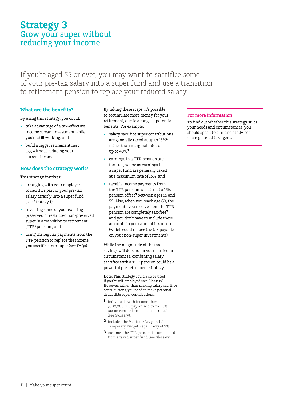## **Strategy 3** Grow your super without reducing your income

If you're aged 55 or over, you may want to sacrifice some of your pre-tax salary into a super fund and use a transition to retirement pension to replace your reduced salary.

#### **What are the benefits?**

By using this strategy, you could:

- • take advantage of a tax-effective income stream investment while you're still working, and
- build a bigger retirement nest egg without reducing your current income.

#### **How does the strategy work?**

This strategy involves:

- • arranging with your employer to sacrifice part of your pre-tax salary directly into a super fund (see Strategy 1)
- investing some of your existing preserved or restricted non-preserved super in a transition to retirement (TTR) pension , and
- using the regular payments from the TTR pension to replace the income you sacrifice into super (see FAQs).

By taking these steps, it's possible to accumulate more money for your retirement, due to a range of potential benefits. For example:

- salary sacrifice super contributions are generally taxed at up to 15%**<sup>1</sup>**, rather than marginal rates of up to 49%**<sup>2</sup>**
- earnings in a TTR pension are tax-free, where as earnings in a super fund are generally taxed at a maximum rate of 15%, and
- • taxable income payments from the TTR pension will attract a 15% pension offset**3** between ages 55 and 59. Also, when you reach age 60, the payments you receive from the TTR pension are completely tax-free**<sup>3</sup>** and you don't have to include these amounts in your annual tax return (which could reduce the tax payable on your non-super investments).

While the magnitude of the tax savings will depend on your particular circumstances, combining salary sacrifice with a TTR pension could be a powerful pre-retirement strategy.

**Note:** This strategy could also be used if you're self-employed (see Glossary). However, rather than making salary sacrifice contributions, you need to make personal deductible super contributions.

- **1** Individuals with income above \$300,000 will pay an additional 15% tax on concessional super contributions (see Glossary).
- **2** Includes the Medicare Levy and the Temporary Budget Repair Levy of 2%.
- **3** Assumes the TTR pension is commenced from a taxed super fund (see Glossary).

#### **For more information**

To find out whether this strategy suits your needs and circumstances, you should speak to a financial adviser or a registered tax agent.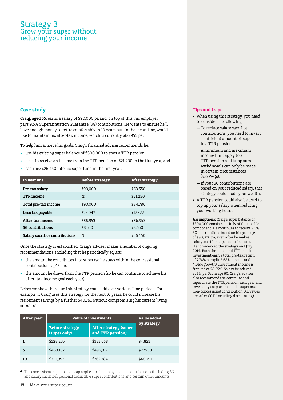### Strategy 3 Grow your super without reducing your income

#### **Case study**

**Craig, aged 55**, earns a salary of \$90,000 pa and, on top of this, his employer pays 9.5% Superannuation Guarantee (SG) contributions. He wants to ensure he'll have enough money to retire comfortably in 10 years but, in the meantime, would like to maintain his after-tax income, which is currently \$66,953 pa.

To help him achieve his goals, Craig's financial adviser recommends he:

- use his existing super balance of \$300,000 to start a TTR pension.
- elect to receive an income from the TTR pension of \$21,230 in the first year, and
- sacrifice \$26,450 into his super fund in the first year.

| In year one                    | <b>Before strategy</b> | <b>After strategy</b> |
|--------------------------------|------------------------|-----------------------|
| Pre-tax salary                 | \$90,000               | \$63,550              |
| <b>TTR</b> income              | Nil                    | \$21,230              |
| Total pre-tax income           | \$90,000               | \$84,780              |
| Less tax payable               | \$23.047               | \$17,827              |
| After-tax income               | \$66,953               | \$66,953              |
| <b>SG contributions</b>        | \$8,550                | \$8,550               |
| Salary sacrifice contributions | Nil                    | \$26,450              |

Once the strategy is established, Craig's adviser makes a number of ongoing recommendations, including that he periodically adjust:

- the amount he contributes into super (so he stays within the concessional contribution cap**4**), and
- the amount he draws from the TTR pension (so he can continue to achieve his after- tax income goal each year).

Below we show the value this strategy could add over various time periods. For example, if Craig uses this strategy for the next 10 years, he could increase his retirement savings by a further \$40,791 without compromising his current living standards

| After year: | <b>Value of investments</b>            |                                                  | Value added |
|-------------|----------------------------------------|--------------------------------------------------|-------------|
|             | <b>Before strategy</b><br>(super only) | <b>After strategy (super</b><br>and TTR pension) | by strategy |
|             | \$328,235                              | \$333,058                                        | \$4.823     |
| 5           | \$469,182                              | \$496,912                                        | \$27,730    |
| 10          | \$721,993                              | \$762,784                                        | \$40,791    |

**4** The concessional contribution cap applies to all employer super contributions (including SG and salary sacrifice), personal deductible super contributions and certain other amounts.

#### **Tips and traps**

- When using this strategy, you need to consider the following:
	- –To replace salary sacrifice contributions, you need to invest a sufficient amount of super in a TTR pension.
	- –A minimum and maximum income limit apply to a TTR pension and lump sum withdrawals can only be made in certain circumstances (see FAQs).
	- –If your SG contributions are based on your reduced salary, this strategy could erode your wealth.
- • A TTR pension could also be used to top up your salary when reducing your working hours.

**Assumptions:** Craig's super balance of \$300,000 consists entirely of the taxable component. He continues to receive 9.5% SG contributions based on his package of \$90,000 pa, even after he makes salary sacrifice super contributions. He commenced the strategy on 1 July 2014. Both the super and TTR pension investment earn a total pre-tax return of 7.74% pa (split 3.68% income and 4.06% growth). Investment income is franked at 28.55%. Salary is indexed at 3% pa. From age 60, Craig's adviser also recommends he commute and repurchase the TTR pension each year and invest any surplus income in super as a non-concessional contribution. All values are after CGT (including discounting).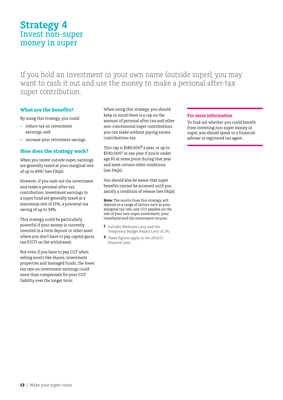## **Strategy 4** Invest non-super money in super

If you hold an investment in your own name (outside super), you may want to cash it out and use the money to make a personal after-tax super contribution.

#### **What are the benefits?**

By using this strategy, you could:

- • reduce tax on investment earnings, and
- increase your retirement savings.

#### **How does the strategy work?**

When you invest outside super, earnings are generally taxed at your marginal rate of up to 49%<sup>1</sup> (see FAQs).

However, if you cash out the investment and make a personal after-tax contribution, investment earnings in a super fund are generally taxed at a maximum rate of 15%; a potential tax saving of up to 34%.

This strategy could be particularly powerful if your money is currently invested in a term deposit or other asset where you don't have to pay capital gains tax (CGT) on the withdrawal.

But even if you have to pay CGT when selling assets like shares, investment properties and managed funds, the lower tax rate on investment earnings could more than compensate for your CGT liability over the longer term.

When using this strategy, you should keep in mind there is a cap on the amount of personal after-tax and other non-concessional super contributions you can make without paying excess contributions tax.

This cap is \$180,000**<sup>2</sup>** a year, or up to \$540,0002 in one year if you're under age 65 at some point during that year and meet certain other conditions (see FAQs).

You should also be aware that super benefits cannot be accessed until you satisfy a condition of release (see FAQs).

**Note:** The results from this strategy will depend on a range of factors such as your marginal tax rate, any CGT payable on the sale of your non-super investment, your timeframe and the investment returns.

- **1** Includes Medicare Levy and the Temporary Budget Repair Levy of 2%.
- **2** These figures apply in the 2014/15 financial year.

#### **For more information**

To find out whether you could benefit from investing non-super money in super, you should speak to a financial adviser or registered tax agent.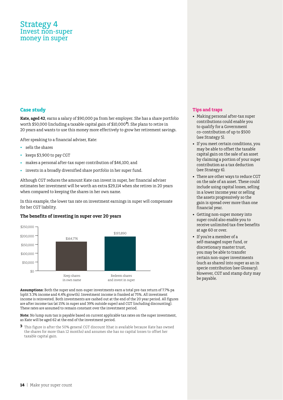### Strategy 4 Invest non-super money in super

#### **Case study**

**Kate, aged 42**, earns a salary of \$90,000 pa from her employer. She has a share portfolio worth \$50,000 (including a taxable capital gain of \$10,000**<sup>3</sup>**). She plans to retire in 20 years and wants to use this money more effectively to grow her retirement savings.

After speaking to a financial adviser, Kate:

- • sells the shares
- keeps \$3,900 to pay CGT
- • makes a personal after-tax super contribution of \$46,100, and
- invests in a broadly diversified share portfolio in her super fund.

Although CGT reduces the amount Kate can invest in super, her financial adviser estimates her investment will be worth an extra \$29,114 when she retires in 20 years when compared to keeping the shares in her own name.

In this example, the lower tax rate on investment earnings in super will compensate for her CGT liability.

#### **The benefits of investing in super over 20 years**



**Assumptions:** Both the super and non-super investments earn a total pre-tax return of 7.7% pa (split 3.3% income and 4.4% growth). Investment income is franked at 75%. All investment income is reinvested. Both investments are cashed out at the end of the 20 year period. All figures are after income tax (at 15% in super and 39% outside super) and CGT (including discounting). These rates are assumed to remain constant over the investment period.

**Note:** No lump sum tax is payable based on current applicable tax rates on the super investment, as Kate will be aged 62 at the end of the investment period.

**3** This figure is after the 50% general CGT discount (that is available because Kate has owned the shares for more than 12 months) and assumes she has no capital losses to offset her taxable capital gain.

#### **Tips and traps**

- • Making personal after-tax super contributions could enable you to qualify for a Government co-contribution of up to \$500 (see Strategy 5).
- If you meet certain conditions, you may be able to offset the taxable capital gain on the sale of an asset by claiming a portion of your super contribution as a tax deduction (see Strategy 6).
- There are other ways to reduce CGT on the sale of an asset. These could include using capital losses, selling in a lower income year or selling the assets progressively so the gain is spread over more than one financial year.
- • Getting non-super money into super could also enable you to receive unlimited tax-free benefits at age 60 or over.
- • If you're a member of a self-managed super fund, or discretionary master trust, you may be able to transfer certain non-super investments (such as shares) into super as an in specie contribution (see Glossary). However, CGT and stamp duty may be payable.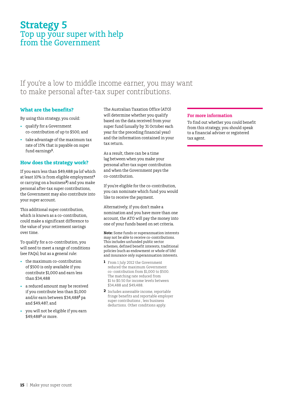## **Strategy 5** Top up your super with help from the Government

### If you're a low to middle income earner, you may want to make personal after-tax super contributions.

#### **What are the benefits?**

By using this strategy, you could:

- • qualify for a Government co-contribution of up to \$500, and
- take advantage of the maximum tax rate of 15% that is payable on super fund earnings**<sup>1</sup>**.

#### **How does the strategy work?**

If you earn less than \$49,488 pa (of which at least 10% is from eligible employment**<sup>1</sup>** or carrying on a business**2**) and you make personal after-tax super contributions, the Government may also contribute into your super account.

This additional super contribution, which is known as a co-contribution, could make a significant difference to the value of your retirement savings over time.

To qualify for a co-contribution, you will need to meet a range of conditions (see FAQs), but as a general rule:

- the maximum co-contribution of \$500 is only available if you contribute \$1,000 and earn less than \$34,488
- a reduced amount may be received if you contribute less than \$1,000 and/or earn between \$34,488**<sup>1</sup>** pa and \$49,487, and
- you will not be eligible if you earn \$49,488**<sup>1</sup>** or more.

The Australian Taxation Office (ATO) will determine whether you qualify based on the data received from your super fund (usually by 31 October each year for the preceding financial year) and the information contained in your tax return.

As a result, there can be a time lag between when you make your personal after-tax super contribution and when the Government pays the co-contribution.

If you're eligible for the co-contribution, you can nominate which fund you would like to receive the payment.

Alternatively, if you don't make a nomination and you have more than one account, the ATO will pay the money into one of your funds based on set criteria.

**Note:** Some funds or superannuation interests may not be able to receive co-contributions. This includes unfunded public sector schemes, defined benefit interests, traditional policies (such as endowment or whole of life) and insurance only superannuation interests.

- **1** From 1 July 2012 the Government reduced the maximum Government co- contribution from \$1,000 to \$500. The matching rate reduced from \$1 to \$0.50 for income levels between \$34,488 and \$49,488.
- **2** Includes assessable income, reportable fringe benefits and reportable employer super contributions , less business deductions. Other conditions apply.

#### **For more information**

To find out whether you could benefit from this strategy, you should speak to a financial adviser or registered tax agent.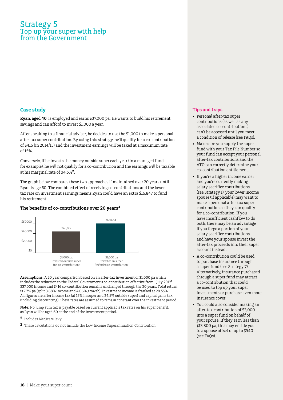### Strategy 5 Top up your super with help from the Government

#### **Case study**

**Ryan, aged 40**, is employed and earns \$37,000 pa. He wants to build his retirement savings and can afford to invest \$1,000 a year.

After speaking to a financial adviser, he decides to use the \$1,000 to make a personal after-tax super contribution. By using this strategy, he'll qualify for a co-contribution of \$416 (in 2014/15) and the investment earnings will be taxed at a maximum rate of 15%.

Conversely, if he invests the money outside super each year (in a managed fund, for example), he will not qualify for a co-contribution and the earnings will be taxable at his marginal rate of 34.5%**2**.

The graph below compares these two approaches if maintained over 20 years until Ryan is age 60. The combined effect of receiving co-contributions and the lower tax rate on investment earnings means Ryan could have an extra \$16,847 to fund his retirement.

#### **The benefits of co-contributions over 20 years<sup>4</sup>**



**Assumptions:** A 20 year comparison based on an after-tax investment of \$1,000 pa which includes the reduction to the Federal Government's co-contribution effective from 1 July 2012**<sup>1</sup>**. \$37,000 income and \$416 co-contribution remains unchanged through the 20 years. Total return is 7.7% pa (split 3.68% income and 4.06% growth). Investment income is franked at 28.55%. All figures are after income tax (at 15% in super and 34.5% outside super) and capital gains tax (including discounting). These rates are assumed to remain constant over the investment period.

**Note:** No lump sum tax is payable based on current applicable tax rates on his super benefit, as Ryan will be aged 60 at the end of the investment period.

- **2** Includes Medicare levy.
- **3** These calculations do not include the Low Income Superannuation Contribution.

#### **Tips and traps**

- • Personal after-tax super contributions (as well as any associated co-contributions) can't be accessed until you meet a condition of release (see FAQs).
- Make sure you supply the super fund with your Tax File Number so your fund can accept your personal after-tax contributions and the ATO can correctly determine your co-contribution entitlement.
- If you're a higher income earner and you're currently making salary sacrifice contributions (see Strategy 1), your lower income spouse (if applicable) may want to make a personal after-tax super contribution so they can qualify for a co-contribution. If you have insufficient cashflow to do both, there may be an advantage if you forgo a portion of your salary sacrifice contributions and have your spouse invest the after-tax proceeds into their super account instead.
- A co-contribution could be used to purchase insurance through a super fund (see Strategy 7). Alternatively, insurance purchased through a super fund may attract a co-contribution that could be used to top up your super investments or purchase even more insurance cover.
- • You could also consider making an after-tax contribution of \$3,000 into a super fund on behalf of your spouse. If they earn less than \$13,800 pa, this may entitle you to a spouse offset of up to \$540 (see FAQs).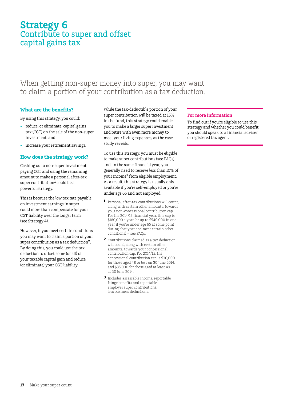## **Strategy 6** Contribute to super and offset capital gains tax

### When getting non-super money into super, you may want to claim a portion of your contribution as a tax deduction.

#### **What are the benefits?**

By using this strategy, you could:

- reduce, or eliminate, capital gains tax (CGT) on the sale of the non-super investment, and
- increase your retirement savings.

#### **How does the strategy work?**

Cashing out a non-super investment, paying CGT and using the remaining amount to make a personal after-tax super contribution<sup>1</sup> could be a powerful strategy.

This is because the low tax rate payable on investment earnings in super could more than compensate for your CGT liability over the longer term (see Strategy 4).

However, if you meet certain conditions, you may want to claim a portion of your super contribution as a tax deduction**2**. By doing this, you could use the tax deduction to offset some (or all) of your taxable capital gain and reduce (or eliminate) your CGT liability.

While the tax-deductible portion of your super contribution will be taxed at 15% in the fund, this strategy could enable you to make a larger super investment and retire with even more money to meet your living expenses, as the case study reveals.

To use this strategy, you must be eligible to make super contributions (see FAQs) and, in the same financial year, you generally need to receive less than 10% of your income**3** from eligible employment. As a result, this strategy is usually only available if you're self-employed or you're under age 65 and not employed.

- **1** Personal after-tax contributions will count, along with certain other amounts, towards your non-concessional contribution cap. For the 2014/15 financial year, this cap is \$180,000 a year (or up to \$540,000 in one year if you're under age 65 at some point during that year and meet certain other conditions) – see FAQs.
- **2** Contributions claimed as a tax deduction will count, along with certain other amounts, towards your concessional contribution cap. For 2014/15, the concessional contribution cap is \$30,000 for those aged 48 or less on 30 June 2014, and \$35,000 for those aged at least 49 at 30 June 2014.
- **3** Includes assessable income, reportable fringe benefits and reportable employer super contributions, less business deductions.

#### **For more information**

To find out if you're eligible to use this strategy and whether you could benefit, you should speak to a financial adviser or registered tax agent.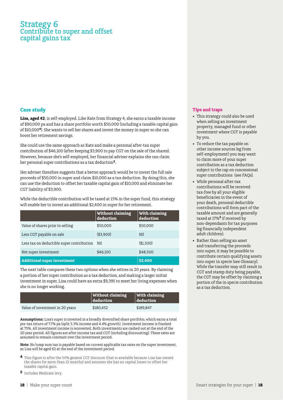### Strategy 6 Contribute to super and offset capital gains tax

#### **Case study**

**Lisa, aged 42**, is self-employed. Like Kate from Strategy 4, she earns a taxable income of \$90,000 pa and has a share portfolio worth \$50,000 (including a taxable capital gain of \$10,000**<sup>4</sup>**). She wants to sell her shares and invest the money in super so she can boost her retirement savings.

She could use the same approach as Kate and make a personal after-tax super contribution of \$46,100 (after keeping \$3,900 to pay CGT on the sale of the shares). However, because she's self-employed, her financial adviser explains she can claim her personal super contributions as a tax deduction**2**.

Her adviser therefore suggests that a better approach would be to invest the full sale proceeds of \$50,000 in super and claim \$10,000 as a tax deduction. By doing this, she can use the deduction to offset her taxable capital gain of \$10,000 and eliminate her CGT liability of \$3,900.

While the deductible contribution will be taxed at 15% in the super fund, this strategy will enable her to invest an additional \$2,400 in super for her retirement.

|                                           | <b>Without claiming</b><br>deduction | With claiming<br>deduction |
|-------------------------------------------|--------------------------------------|----------------------------|
| Value of shares prior to selling          | \$50,000                             | \$50,000                   |
| Less CGT payable on sale                  | ( \$3.900)                           | Nil                        |
| Less tax on deductible super contribution | Nil                                  | ( \$1,500)                 |
| Net super investment                      | \$46,100                             | \$48,500                   |
| <b>Additional super investment</b>        |                                      | \$2,400                    |

The next table compares these two options when she retires in 20 years. By claiming a portion of her super contribution as a tax deduction, and making a larger initial investment in super, Lisa could have an extra \$9,395 to meet her living expenses when she is no longer working.

|                                 | <b>Without claiming</b><br>$\sf{I}$ deduction $\sf{I}$ | <b>With claiming</b><br>deduction |
|---------------------------------|--------------------------------------------------------|-----------------------------------|
| Value of investment in 20 years | \$180.452                                              | \$189.847                         |

**Assumptions:** Lisa's super is invested in a broadly diversified share portfolio, which earns a total pre-tax return of 7.7% pa (split 3.3% income and 4.4% growth). Investment income is franked at 75%. All investment income is reinvested. Both investments are cashed out at the end of the 20 year period. All figures are after income tax and CGT (including discounting). These rates are assumed to remain constant over the investment period.

**Note:** No lump sum tax is payable based on current applicable tax rates on the super investment, as Lisa will be aged 62 at the end of the investment period.

- **4** This figure is after the 50% general CGT discount (that is available because Lisa has owned the shares for more than 12 months) and assumes she has no capital losses to offset her taxable capital gain.
- **5** Includes Medicare levy.

#### **Tips and traps**

- This strategy could also be used when selling an investment property, managed fund or other investment where CGT is payable by you.
- To reduce the tax payable on other income sources (eg from self-employment) you may want to claim more of your super contribution as a tax deduction subject to the cap on concessional super contributions (see FAQs).
- • While personal after-tax contributions will be received tax-free by all your eligible beneficiaries in the event of your death, personal deductible contributions will form part of the taxable amount and are generally taxed at 17%**5** if received by non-dependants for tax purposes (eg financially independent adult children).
- Rather than selling an asset and transferring the proceeds into super, it may be possible to contribute certain qualifying assets into super in specie (see Glossary). While the transfer may still result in CGT and stamp duty being payable, the CGT may be offset by claiming a portion of the in specie contribution as a tax deduction.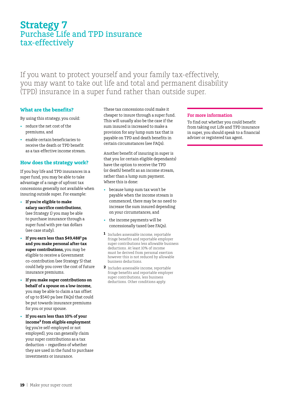## **Strategy 7** Purchase Life and TPD insurance tax-effectively

If you want to protect yourself and your family tax-effectively, you may want to take out life and total and permanent disability (TPD) insurance in a super fund rather than outside super.

#### **What are the benefits?**

By using this strategy, you could:

- • reduce the net cost of the premiums, and
- enable certain beneficiaries to receive the death or TPD benefit as a tax-effective income stream.

#### **How does the strategy work?**

If you buy life and TPD insurances in a super fund, you may be able to take advantage of a range of upfront tax concessions generally not available when insuring outside super. For example:

- If you're eligible to make **salary sacrifice contributions**, (see Strategy 1) you may be able to purchase insurance through a super fund with pre-tax dollars (see case study).
- • **If you earn less than \$49,4881 pa and you make personal after-tax super contributions,** you may be eligible to receive a Government co-contribution (see Strategy 5) that could help you cover the cost of future insurance premiums.
- If you make super contributions on **behalf of a spouse on a low-income,**  you may be able to claim a tax offset of up to \$540 pa (see FAQs) that could be put towards insurance premiums for you or your spouse.
- If you earn less than 10% of your **income<sup>2</sup> from eligible employment**  (eg you're self-employed or not employed), you can generally claim your super contributions as a tax deduction – regardless of whether they are used in the fund to purchase investments or insurance.

These tax concessions could make it cheaper to insure through a super fund. This will usually also be the case if the sum insured is increased to make a provision for any lump sum tax that is payable on TPD and death benefits in certain circumstances (see FAQs).

Another benefit of insuring in super is that you (or certain eligible dependants) have the option to receive the TPD (or death) benefit as an income stream, rather than a lump sum payment. Where this is done:

- • because lump sum tax won't be payable when the income stream is commenced, there may be no need to increase the sum insured depending on your circumstances, and
- the income payments will be concessionally taxed (see FAQs).
- **1** Includes assessable income, reportable fringe benefits and reportable employer super contributions less allowable business deductions. At least 10% of income must be derived from personal exertion however this is not reduced by allowable business deductions.
- **2** Includes assessable income, reportable fringe benefits and reportable employer super contributions, less business deductions. Other conditions apply.

#### **For more information**

To find out whether you could benefit from taking out Life and TPD insurance in super, you should speak to a financial adviser or registered tax agent.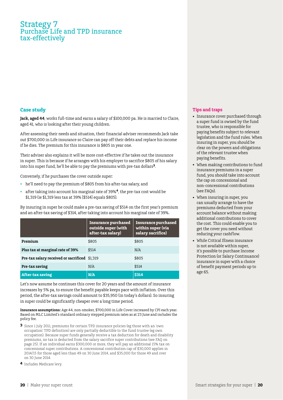### Strategy 7 Purchase Life and TPD insurance tax-effectively

#### **Case study**

**Jack, aged 44**, works full-time and earns a salary of \$100,000 pa. He is married to Claire, aged 41, who is looking after their young children.

After assessing their needs and situation, their financial adviser recommends Jack take out \$700,000 in Life insurance so Claire can pay off their debts and replace his income if he dies. The premium for this insurance is \$805 in year one.

Their adviser also explains it will be more cost-effective if he takes out the insurance in super. This is because if he arranges with his employer to sacrifice \$805 of his salary into his super fund, he'll be able to pay the premiums with pre-tax dollars**3**.

Conversely, if he purchases the cover outside super:

- he'll need to pay the premium of \$805 from his after-tax salary, and
- after taking into account his marginal rate of 39%<sup>4</sup>, the pre-tax cost would be \$1,319 (ie \$1,319 less tax at 39% [\$514] equals \$805).

By insuring in super he could make a pre-tax saving of \$514 on the first year's premium and an after-tax saving of \$314, after taking into account his marginal rate of 39%.

|                                               | <b>Insurance purchased</b><br>outside super (with<br>after-tax salary) | <b>Insurance purchased</b><br>within super (via<br>salary sacrifice) |
|-----------------------------------------------|------------------------------------------------------------------------|----------------------------------------------------------------------|
| Premium                                       | \$805                                                                  | \$805                                                                |
| Plus tax at marginal rate of 39%              | \$514                                                                  | N/A                                                                  |
| Pre-tax salary received or sacrificed \$1,319 |                                                                        | \$805                                                                |
| Pre-tax saving                                | N/A                                                                    | \$514                                                                |
| <b>After-tax saving</b>                       | N/A                                                                    | <b>\$314</b>                                                         |

Let's now assume he continues this cover for 20 years and the amount of insurance increases by 5% pa, to ensure the benefit payable keeps pace with inflation. Over this period, the after-tax savings could amount to \$35,950 (in today's dollars). So insuring in super could be significantly cheaper over a long time period.

#### **Insurance assumptions:** Age 44, non-smoker, \$700,000 in Life Cover increased by CPI each year. Based on MLC Limited's standard ordinary stepped premium rates as at 23 June and includes the policy fee.

- **3** Since 1 July 2011, premiums for certain TPD insurance policies (eg those with an 'own occupation' TPD definition) are only partially deductible to the fund trustee (eg own occupation). Because super funds generally receive a tax deduction for death and disability premiums, no tax is deducted from the salary sacrifice super contributions (see FAQ on page 25). If an individual earns \$300,000 or more, they will pay an additional 15% tax on concessional super contributions. A concessional contribution cap of \$30,000 applies in 2014/15 for those aged less than 49 on 30 June 2014, and \$35,000 for those 49 and over on 30 June 2014.
- **4** Includes Medicare levy.

#### **Tips and traps**

- Insurance cover purchased through a super fund is owned by the fund trustee, who is responsible for paying benefits subject to relevant legislation and the fund rules. When insuring in super, you should be clear on the powers and obligations of the relevant trustee when paying benefits.
- When making contributions to fund insurance premiums in a super fund, you should take into account the cap on concessional and non-concessional contributions (see FAQs).
- • When insuring in super, you can usually arrange to have the premiums deducted from your account balance without making additional contributions to cover the cost. This could enable you to get the cover you need without reducing your cashflow.
- • While Critical Illness insurance is not available within super, it's possible to purchase Income Protection (or Salary Continuance) insurance in super with a choice of benefit payment periods up to age 65.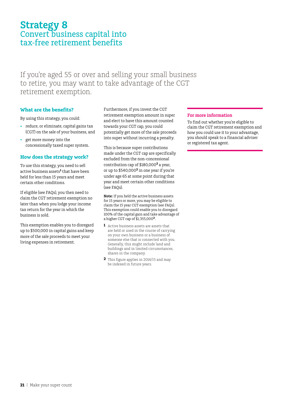## **Strategy 8** Convert business capital into tax-free retirement benefits

If you're aged 55 or over and selling your small business to retire, you may want to take advantage of the CGT retirement exemption.

#### **What are the benefits?**

By using this strategy, you could:

- • reduce, or eliminate, capital gains tax (CGT) on the sale of your business, and
- get more money into the concessionally taxed super system.

#### **How does the strategy work?**

To use this strategy, you need to sell active business assets<sup>1</sup> that have been held for less than 15 years and meet certain other conditions.

If eligible (see FAQs), you then need to claim the CGT retirement exemption no later than when you lodge your income tax return for the year in which the business is sold.

This exemption enables you to disregard up to \$500,000 in capital gains and keep more of the sale proceeds to meet your living expenses in retirement.

Furthermore, if you invest the CGT retirement exemption amount in super and elect to have this amount counted towards your CGT cap, you could potentially get more of the sale proceeds into super without incurring a penalty.

This is because super contributions made under the CGT cap are specifically excluded from the non-concessional contribution cap of \$180,000**2** a year, or up to \$540,000**2** in one year if you're under age 65 at some point during that year and meet certain other conditions (see FAQs).

**Note:** If you held the active business assets for 15 years or more, you may be eligible to claim the 15 year CGT exemption (see FAQs). This exemption could enable you to disregard 100% of the capital gain and take advantage of a higher CGT cap of \$1,355,000**2**.

- **1** Active business assets are assets that are held or used in the course of carrying on your own business or a business of someone else that is connected with you. Generally, this might include land and buildings and in limited circumstances, shares in the company.
- **2** This figure applies in 2014/15 and may be indexed in future years.

#### **For more information**

To find out whether you're eligible to claim the CGT retirement exemption and how you could use it to your advantage, you should speak to a financial adviser or registered tax agent.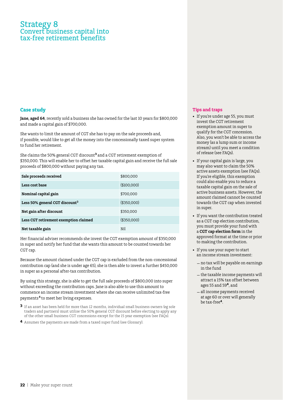### Strategy 8 Convert business capital into tax-free retirement benefits

#### **Case study**

**Jane, aged 64**, recently sold a business she has owned for the last 10 years for \$800,000 and made a capital gain of \$700,000.

She wants to limit the amount of CGT she has to pay on the sale proceeds and, if possible, would like to get all the money into the concessionally taxed super system to fund her retirement.

She claims the 50% general CGT discount**<sup>3</sup>** and a CGT retirement exemption of \$350,000. This will enable her to offset her taxable capital gain and receive the full sale proceeds of \$800,000 without paying any tax.

| Sale proceeds received                     | \$800,000    |
|--------------------------------------------|--------------|
| Less cost base                             | \$100,000    |
| Nominal capital gain                       | \$700,000    |
| Less 50% general CGT discount <sup>3</sup> | (\$350,000)  |
| Net gain after discount                    | \$350,000    |
| Less CGT retirement exemption claimed      | ( \$350,000) |
| Net taxable gain                           | Nil          |

Her financial adviser recommends she invest the CGT exemption amount of \$350,000 in super and notify her fund that she wants this amount to be counted towards her CGT cap.

Because the amount claimed under the CGT cap is excluded from the non-concessional contribution cap (and she is under age 65), she is then able to invest a further \$450,000 in super as a personal after-tax contribution.

By using this strategy, she is able to get the full sale proceeds of \$800,000 into super without exceeding the contribution caps. Jane is also able to use this amount to commence an income stream investment where she can receive unlimited tax-free payments **4** to meet her living expenses.

- **3** If an asset has been held for more than 12 months, individual small business owners (eg sole traders and partners) must utilise the 50% general CGT discount before electing to apply any of the other small business CGT concessions except for the 15 year exemption (see FAQs).
- **4** Assumes the payments are made from a taxed super fund (see Glossary).

#### **Tips and traps**

- If you're under age 55, you must invest the CGT retirement exemption amount in super to qualify for the CGT concession. Also, you won't be able to access the money (as a lump sum or income stream) until you meet a condition of release (see FAQs).
- If your capital gain is large, you may also want to claim the 50% active assets exemption (see FAQs). If you're eligible, this exemption could also enable you to reduce a taxable capital gain on the sale of active business assets. However, the amount claimed cannot be counted towards the CGT cap when invested in super.
- If you want the contribution treated as a CGT cap election contribution, you must provide your fund with a **CGT cap election form** in the approved format at the time or prior to making the contribution.
- If you use your super to start an income stream investment:
	- –no tax will be payable on earnings in the fund
	- –the taxable income payments will attract a 15% tax offset between ages 55 and 59**<sup>4</sup>**, and
	- –all income payments received at age 60 or over will generally be tax-free**<sup>4</sup>**.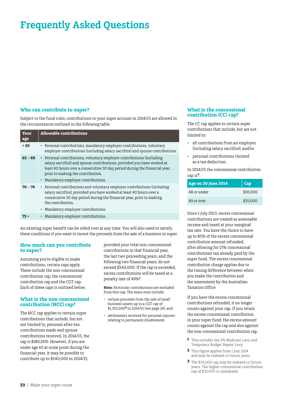#### **Who can contribute to super?**

Subject to the fund rules, contributions to your super account in 2014/15 are allowed in the circumstances outlined in the following table:

| Your<br>age | <b>Allowable contributions</b>                                                                                                                                                                                                                                                                             |
|-------------|------------------------------------------------------------------------------------------------------------------------------------------------------------------------------------------------------------------------------------------------------------------------------------------------------------|
| $\leq 65$   | • Personal contributions, mandatory employer contributions, voluntary<br>employer contributions (including salary sacrifice) and spouse contributions.                                                                                                                                                     |
| $65 - 69$   | • Personal contributions, voluntary employer contributions (including<br>salary sacrifice) and spouse contributions, provided you have worked at<br>least 40 hours over a consecutive 30 day period during the financial year,<br>prior to making the contribution.<br>• Mandatory employer contributions. |
| $70 - 74$   | • Personal contributions and voluntary employer contributions (including<br>salary sacrifice), provided you have worked at least 40 hours over a<br>consecutive 30 day period during the financial year, prior to making<br>the contribution.<br>• Mandatory employer contributions.                       |
| 75 +        | • Mandatory employer contributions.                                                                                                                                                                                                                                                                        |

An existing super benefit can be rolled over at any time. You will also need to satisfy these conditions if you want to invest the proceeds from the sale of a business in super.

#### **How much can you contribute to super?**

Assuming you're eligible to make contributions, certain caps apply. These include the non-concessional contribution cap, the concessional contribution cap and the CGT cap. Each of these caps is outlined below.

#### **What is the non-concessional contribution (NCC) cap?**

The NCC cap applies to certain super contributions that include, but are not limited to, personal after-tax contributions made and spouse contributions received. In 2014/15, the cap is \$180,000. However, if you are under age 65 at some point during the financial year, it may be possible to contribute up to \$540,000 in 2014/15,

provided your total non-concessional contributions in that financial year, the last two proceeding years, and the following two financial years, do not exceed \$540,000. If the cap is exceeded, excess contributions will be taxed at a penalty rate of 49%**<sup>1</sup>** .

**Note:** Particular contributions are excluded from this cap. The main ones include:

- • certain proceeds from the sale of small business assets up to a CGT cap of \$1,355,000**<sup>2</sup>**in 2014/15 (see page 24), and
- settlements received for personal injuries relating to permanent disablement.

#### **What is the concessional contribution (CC) cap?**

The CC cap applies to certain super contributions that include, but are not limited to:

- all contributions from an employer (including salary sacrifice), and/or
- • personal contributions claimed as a tax deduction.

In 2014/15 the concessional contribution cap is**3**:

| Age on 30 June 2014 | ' Cap    |
|---------------------|----------|
| 48 or under         | \$30,000 |
| 49 or over          | \$35,000 |

Since 1 July 2013, excess concessional contributions are treated as assessable income and taxed at your marginal tax rate. You have the choice to have up to 85% of the excess concessional contribution amount refunded, after allowing for 15% concessional contributions tax already paid by the super fund. The excess concessional contribution charge applies due to the timing difference between when you make the contribution and the assessment by the Australian Taxation Office.

If you have the excess concessional contributions refunded, it no longer counts against your cap. If you retain the excess concessional contribution in your super fund, the excess amount counts against the cap and also against the non-concessional contribution cap.

- **1** This includes the 2% Medicare Levy and Temporary Budget Repair Levy.
- **2** This figure applies from 1 July 2014 and may be indexed in future years.
- **3** The \$30,000 cap may be indexed in future years. The higher concessional contribution cap of \$35,000 is unindexed.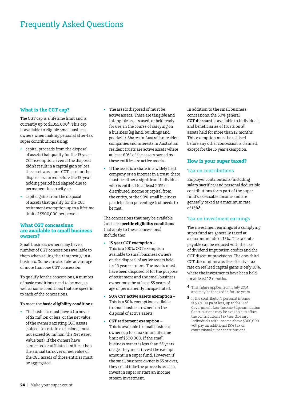#### **What is the CGT cap?**

The CGT cap is a lifetime limit and is currently up to \$1,355,000**<sup>4</sup>**. This cap is available to eligible small business owners when making personal after-tax super contributions using:

- capital proceeds from the disposal of assets that qualify for the 15 year CGT exemption, even if the disposal didn't result in a capital gain or loss, the asset was a pre-CGT asset or the disposal occurred before the 15-year holding period had elapsed due to permanent incapacity, or
- capital gains from the disposal of assets that qualify for the CGT retirement exemption up to a lifetime limit of \$500,000 per person.

#### **What CGT concessions are available to small business owners?**

Small business owners may have a number of CGT concessions available to them when selling their interest(s) in a business. Some can also take advantage of more than one CGT concession.

To qualify for the concessions, a number of basic conditions need to be met, as well as some conditions that are specific to each of the concessions.

#### To meet the **basic eligibility conditions:**

• The business must have a turnover of \$2 million or less, or the net value of the owner's existing CGT assets (subject to certain exclusions) must not exceed \$6 million (the Net Asset Value test). If the owners have connected or affiliated entities, then the annual turnover or net value of the CGT assets of those entities must be aggregated.

- • The assets disposed of must be active assets. These are tangible and intangible assets used, or held ready for use, in the course of carrying on a business (eg land, buildings and goodwill). Shares in Australian resident companies and interests in Australian resident trusts are active assets where at least 80% of the assets owned by these entities are active assets.
- If the asset is a share in a widely held company or an interest in a trust, there must be either a significant individual who is entitled to at least 20% of distributed income or capital from the entity, or the 90% small business participation percentage test needs to be met.

The concessions that may be available (and the **specific eligibility conditions** that apply to these concessions) include the:

- • **15 year CGT exemption**  This is a 100% CGT exemption available to small business owners on the disposal of active assets held for 15 years or more. The assets must have been disposed of for the purpose of retirement and the small business owner must be at least 55 years of age or permanently incapacitated.
- 50% CGT active assets exemption -This is a 50% exemption available to small business owners on the disposal of active assets.
- • **CGT retirement exemption –** This is available to small business owners up to a maximum lifetime limit of \$500,000. If the small business owner is less than 55 years of age, they must invest the exempt amount in a super fund. However, if the small business owner is 55 or over, they could take the proceeds as cash, invest in super or start an income stream investment.

In addition to the small business concessions, the 50% general **CGT discount** is available to individuals and beneficiaries of trusts on all assets held for more than 12 months. This exemption must be utilised before any other concession is claimed, except for the 15 year exemption.

#### **How is your super taxed?**

#### Tax on contributions

Employer contributions (including salary sacrifice) and personal deductible contributions form part of the super fund's assessable income and are generally taxed at a maximum rate of 15%**5** .

#### Tax on investment earnings

The investment earnings of a complying super fund are generally taxed at a maximum rate of 15%. The tax rate payable can be reduced with the use of dividend imputation credits and the CGT discount provisions. The one-third CGT discount means the effective tax rate on realised capital gains is only 10%, where the investments have been held for at least 12 months.

- **4** This figure applies from 1 July 2014 and may be indexed in future years.
- **5** If the contributor's personal income is \$37,000 pa or less, up to \$500 of Government Low Income Superannuation Contributions may be available to offset the contributions tax (see Glossary). Individuals with income above \$300,000 will pay an additional 15% tax on concessional super contributions.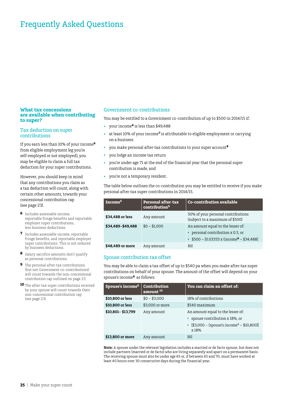#### **What tax concessions are available when contributing to super?**

#### Tax deduction on super contributions

If you earn less than 10% of your income**<sup>6</sup>** from eligible employment (eg you're self-employed or not employed), you may be eligible to claim a full tax deduction for your super contributions.

However, you should keep in mind that any contributions you claim as a tax deduction will count, along with certain other amounts, towards your concessional contribution cap (see page 23).

- **6** Includes assessable income, reportable fringe benefits and reportable employer super contributions, less business deductions.
- **7** Includes assessable income, reportable fringe benefits, and reportable employer super contributions. This is not reduced by business deductions.
- **8** Salary sacrifice amounts don't qualify as personal contributions.
- **9** The personal after-tax contributions (but not Government co-contributions) will count towards the non-concessional contribution cap outlined on page 23.
- **10** The after-tax super contributions received by your spouse will count towards their non-concessional contribution cap (see page 23).

#### Government co-contributions

You may be entitled to a Government co-contribution of up to \$500 in 2014/15 if:

- • your income**<sup>6</sup>** is less than \$49,488
- at least 10% of your income<sup>7</sup> is attributable to eligible employment or carrying on a business
- • you make personal after-tax contributions to your super account**<sup>8</sup>**
- you lodge an income tax return
- you're under age 71 at the end of the financial year that the personal super contribution is made, and
- • you're not a temporary resident.

The table below outlines the co-contribution you may be entitled to receive if you make personal after-tax super contributions in 2014/15.

| Income <sup>6</sup> | <b>Personal after-tax</b><br>contribution <sup>9</sup> | <b>Co-contribution available</b>                                                                                         |
|---------------------|--------------------------------------------------------|--------------------------------------------------------------------------------------------------------------------------|
| \$34,488 or less    | Any amount                                             | 50% of your personal contributions<br>(subject to a maximum of \$500)                                                    |
| \$34,489-\$49,488   | $$0 - $1,000$                                          | An amount equal to the lesser of:<br>personal contribution x 0.5, or<br>• $$500 - [0.03333 \times (income^6 - $34,488)]$ |
| \$48,489 or more    | Any amount                                             | Nil                                                                                                                      |

#### Spouse contribution tax offset

You may be able to claim a tax offset of up to \$540 pa when you make after-tax super contributions on behalf of your spouse. The amount of the offset will depend on your spouse's income**6** as follows:

| Spouse's income <sup>6</sup> | Contribution<br>amount <sup>10</sup> | You can claim an offset of:                                                                                                              |
|------------------------------|--------------------------------------|------------------------------------------------------------------------------------------------------------------------------------------|
| \$10,800 or less             | $$0 - $3,000$                        | 18% of contributions                                                                                                                     |
| \$10,800 or less             | \$3,000 or more                      | \$540 maximum                                                                                                                            |
| \$10,801-\$13,799            | Any amount                           | An amount equal to the lesser of:<br>• spouse contribution x 18%, or<br>• [\$3,000 – (spouse's income <sup>6</sup> – \$10,800)]<br>x 18% |
| \$13,800 or more             | Any amount                           | Nil                                                                                                                                      |

**Note:** A spouse under the relevant legislation includes a married or de facto spouse, but does not include partners (married or de facto) who are living separately and apart on a permanent basis. The receiving spouse must also be under age 65 or, if between 65 and 70, must have worked at least 40 hours over 30 consecutive days during the financial year.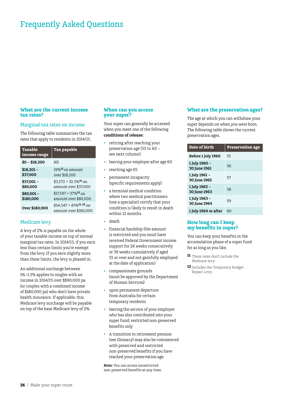#### **What are the current income tax rates?**

#### Marginal tax rates on income

The following table summarises the tax rates that apply to residents in 2014/15.

| <b>Taxable</b><br>income range | <b>Tax payable</b>                                             |
|--------------------------------|----------------------------------------------------------------|
| $$0 - $18,200$                 | Nil                                                            |
| $$18,201-$                     | $19\%$ <sup>11</sup> on amount                                 |
| \$37,000                       | over \$18,200                                                  |
| $$37,001 -$                    | $$3,572 + 32.5\%$ <sup>11</sup> on                             |
| \$80,000                       | amount over \$37,000                                           |
| $$80,001 -$                    | $$17.547 + 37\%$ <sup>11</sup> on                              |
| \$180,000                      | amount over \$80,000                                           |
| Over \$180,000                 | $$54,547 + 47\%$ <sup>11, 12</sup> on<br>amount over \$180,000 |

#### Medicare levy

A levy of 2% is payable on the whole of your taxable income on top of normal marginal tax rates. In 2014/15, if you earn less than certain limits you're exempt from the levy. If you earn slightly more than these limits, the levy is phased in.

An additional surcharge between 1%–1.5% applies to singles with an income in 2014/15 over \$\$90,000 pa (or couples with a combined income of \$180,000 pa) who don't have private health insurance. If applicable, this Medicare levy surcharge will be payable on top of the base Medicare levy of 2%.

#### **When can you access your super?**

Your super can generally be accessed when you meet one of the following **conditions of release:**

- retiring after reaching your preservation age (55 to 60 – see next column)
- • leaving your employer after age 60
- reaching age 65
- permanent incapacity (specific requirements apply)
- a terminal medical condition where two medical practitioners (one a specialist) certify that your condition is likely to result in death within 12 months
- death
- financial hardship (the amount is restricted and you must have received Federal Government income support for 26 weeks consecutively or 39 weeks cumulatively if aged 55 or over and not gainfully employed at the date of application)
- compassionate grounds (must be approved by the Department of Human Services)
- • upon permanent departure from Australia for certain temporary residents
- leaving the service of your employer who has also contributed into your super fund; restricted non-preserved benefits only
- • A transition to retirement pension (see Glossary) may also be commenced with preserved and restricted non-preserved benefits if you have reached your preservation age.

**Note:** You can access unrestricted non-preserved benefits at any time.

#### **What are the preservation ages?**

The age at which you can withdraw your super depends on when you were born. The following table shows the current preservation ages.

| Date of birth                 | <b>Preservation age</b> |
|-------------------------------|-------------------------|
| Before 1 July 1960            | 55                      |
| 1 July 1960 -<br>30 June 1961 | 56                      |
| 1 July 1961 –<br>30 June 1962 | 57                      |
| 1 July 1962 -<br>30 June 1963 | 58                      |
| 1 July 1963 –<br>30 June 1964 | 59                      |
| 1 July 1964 or after          | 60                      |

#### **How long can I keep my benefits in super?**

You can keep your benefits in the accumulation phase of a super fund for as long as you like.

- **11** These rates don't include the Medicare levy.
- **12** Includes the Temporary Budget Repair Levy.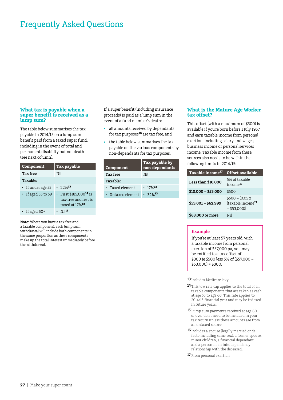#### **What tax is payable when a super benefit is received as a lump sum?**

The table below summarises the tax payable in 2014/15 on a lump sum benefit paid from a taxed super fund, including in the event of total and permanent disability but not death (see next column).

| Component                | <b>Tax payable</b>                                                                       |  |
|--------------------------|------------------------------------------------------------------------------------------|--|
| <b>Tax free</b>          | Nil                                                                                      |  |
| <b>Taxable:</b>          |                                                                                          |  |
| • If under age 55        | $.72\%$ <sup>13</sup>                                                                    |  |
| $\cdot$ If aged 55 to 59 | · First \$185,000 <sup>14</sup> is<br>tax-free and rest is<br>taxed at 17% <sup>13</sup> |  |
| If aged $60+$            | N <sub>i</sub> 115                                                                       |  |

**Note:** Where you have a tax free and a taxable component, each lump sum withdrawal will include both components in the same proportion as these components make up the total interest immediately before the withdrawal.

If a super benefit (including insurance proceeds) is paid as a lump sum in the event of a fund member's death:

- • all amounts received by dependants for tax purposes**<sup>16</sup>** are tax free, and
- the table below summarises the tax payable on the various components by non-dependants for tax purposes.

| Component         | Tax payable by<br>non-dependants |  |
|-------------------|----------------------------------|--|
| <b>Tax free</b>   | Nil                              |  |
| Taxable:          |                                  |  |
| • Taxed element   | $\cdot$ 17% <sup>13</sup>        |  |
| • Untaxed element | $.32\%$ <sup>13</sup>            |  |

#### **What is the Mature Age Worker tax offset?**

This offset (with a maximum of \$500) is available if you're born before 1 July 1957 and earn taxable income from personal exertion, including salary and wages, business income or personal services income. Taxable income from these sources also needs to be within the following limits in 2014/15:

| Taxable income <sup>17</sup> | <b>Offset available</b>                                             |
|------------------------------|---------------------------------------------------------------------|
| Less than \$10,000           | 5% of taxable<br>$income$ <sup>17</sup>                             |
| $$10,000 - $53,000$          | \$500                                                               |
| $$53,001 - $62,999$          | $$500 - [0.05 x]$<br>(taxable income <sup>17</sup><br>$-$ \$53,000) |
| \$63,000 or more             | Nil                                                                 |

#### **Example**

If you're at least 57 years old, with a taxable income from personal exertion of \$57,000 pa, you may be entitled to a tax offset of \$300 ie \$500 less 5% of (\$57,000 –  $$53,000$  = \$300.

**13**Includes Medicare levy.

- **14**This low rate cap applies to the total of all taxable components that are taken as cash at age 55 to age 60. This rate applies to 2014/15 financial year and may be indexed in future years.
- **15** Lump sum payments received at age 60 or over don't need to be included in your tax return unless these amounts are from an untaxed source.
- **16**Includes a spouse (legally married or de facto including same sex), a former spouse, minor children, a financial dependant and a person in an interdependency relationship with the deceased.
- **17** From personal exertion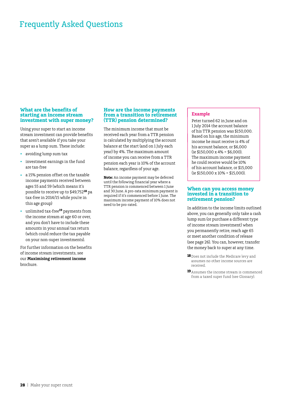#### **What are the benefits of starting an income stream investment with super money?**

Using your super to start an income stream investment can provide benefits that aren't available if you take your super as a lump sum. These include:

- • avoiding lump sum tax
- investment earnings in the fund are tax-free
- a 15% pension offset on the taxable income payments received between ages 55 and 59 (which means it's possible to receive up to \$49,752**18** pa tax-free in 2014/15 while you're in this age group)
- unlimited tax-free<sup>19</sup> payments from the income stream at age 60 or over, and you don't have to include these amounts in your annual tax return (which could reduce the tax payable on your non-super investments).

For further information on the benefits of income stream investments, see our **Maximising retirement income** brochure.

#### **How are the income payments from a transition to retirement (TTR) pension determined?**

The minimum income that must be received each year from a TTR pension is calculated by multiplying the account balance at the start (and on 1 July each year) by 4%. The maximum amount of income you can receive from a TTR pension each year is 10% of the account balance, regardless of your age.

**Note:** An income payment may be deferred until the following financial year where a TTR pension is commenced between 1 June and 30 June. A pro-rata minimum payment is required if it's commenced before 1 June. The maximum income payment of 10% does not need to be pro-rated.

#### **Example**

Peter turned 62 in June and on 1 July 2014 the account balance of his TTR pension was \$150,000. Based on his age, the minimum income he must receive is 4% of his account balance, or \$6,000  $(ie $150,000 \times 4\% = $6,000)$ . The maximum income payment he could receive would be 10% of his account balance, or \$15,000 (ie \$150,000 x 10% = \$15,000).

#### **When can you access money invested in a transition to retirement pension?**

In addition to the income limits outlined above, you can generally only take a cash lump sum (or purchase a different type of income stream investment) when you permanently retire, reach age 65 or meet another condition of release (see page 26). You can, however, transfer the money back to super at any time.

- **18**Does not include the Medicare levy and assumes no other income sources are received.
- **19**Assumes the income stream is commenced from a taxed super fund (see Glossary).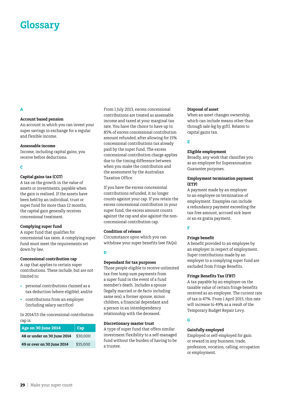# **Glossary**

#### **A**

#### **Account based pension**

An account in which you can invest your super savings in exchange for a regular and flexible income.

#### **Assessable income**

Income, including capital gains, you receive before deductions.

#### **C**

#### **Capital gains tax (CGT)**

A tax on the growth in the value of assets or investments, payable when the gain is realised. If the assets have been held by an individual, trust or super fund for more than 12 months, the capital gain generally receives concessional treatment.

#### **Complying super fund**

A super fund that qualifies for concessional tax rates. A complying super fund must meet the requirements set down by law.

#### **Concessional contribution cap**

A cap that applies to certain super contributions. These include, but are not limited to:

- • personal contributions claimed as a tax deduction (where eligible), and/or
- • contributions from an employer (including salary sacrifice)

In 2014/15 the concessional contribution cap is:

| <b>Age on 30 June 2014</b>  | Cap      |
|-----------------------------|----------|
| 48 or under on 30 June 2014 | \$30,000 |
| 49 or over on 30 June 2014  | \$35,000 |

From 1 July 2013, excess concessional contributions are treated as assessable income and taxed at your marginal tax rate. You have the choice to have up to 85% of excess concessional contribution amount refunded, after allowing for 15% concessional contributions tax already paid by the super fund. The excess concessional contribution charge applies due to the timing difference between when you make the contribution and the assessment by the Australian Taxation Office.

If you have the excess concessional contributions refunded, it no longer counts against your cap. If you retain the excess concessional contribution in your super fund, the excess amount counts against the cap and also against the nonconcessional contribution cap.

#### **Condition of release**

Circumstance upon which you can withdraw your super benefits (see FAQs).

**D**

#### **Dependant for tax purposes**

Those people eligible to receive unlimited tax-free lump sum payments from a super fund in the event of a fund member's death. Includes a spouse (legally married or de facto including same sex), a former spouse, minor children, a financial dependant and a person in an interdependency relationship with the deceased.

#### **Discretionary master trust**

A type of super fund that offers similar investment flexibility to a self-managed fund without the burden of having to be a trustee.

#### **Disposal of asset**

When an asset changes ownership, which can include means other than through sale (eg by gift). Relates to capital gains tax.

#### **E**

#### **Eligible employment**

Broadly, any work that classifies you as an employee for Superannuation Guarantee purposes.

#### **Employment termination payment (ETP)**

A payment made by an employer to an employee on termination of employment. Examples can include a redundancy payment exceeding the tax-free amount, accrued sick leave or an ex gratia payment.

#### **F**

#### **Fringe benefit**

A benefit provided to an employee by an employer in respect of employment. Super contributions made by an employer to a complying super fund are excluded from Fringe Benefits.

#### **Fringe Benefits Tax (FBT)**

A tax payable by an employer on the taxable value of certain fringe benefits received as an employee. The current rate of tax is 47%. From 1 April 2015, this rate will increase to 49% as a result of the Temporary Budget Repair Levy.

#### **G**

#### **Gainfully employed**

Employed or self-employed for gain or reward in any business, trade, profession, vocation, calling, occupation or employment.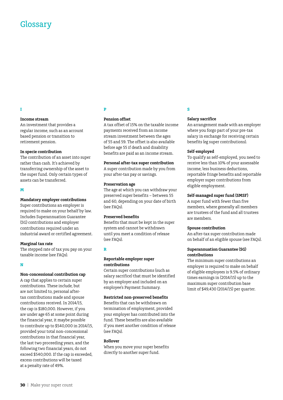## Glossary

#### **Income stream**

An investment that provides a regular income, such as an account based pension or transition to retirement pension.

#### **In specie contribution**

The contribution of an asset into super rather than cash. It's achieved by transferring ownership of the asset to the super fund. Only certain types of assets can be transferred.

#### **M**

#### **Mandatory employer contributions**

Super contributions an employer is required to make on your behalf by law. Includes Superannuation Guarantee (SG) contributions and employer contributions required under an industrial award or certified agreement.

#### **Marginal tax rate**

The stepped rate of tax you pay on your taxable income (see FAQs).

#### **N**

#### **Non-concessional contribution cap**

A cap that applies to certain super contributions. These include, but are not limited to, personal aftertax contributions made and spouse contributions received. In 2014/15, the cap is \$180,000. However, if you are under age 65 at some point during the financial year, it maybe possible to contribute up to \$540,000 in 2014/15, provided your total non-concessional contributions in that financial year, the last two proceeding years, and the following two financial years, do not exceed \$540,000. If the cap is exceeded, excess contributions will be taxed at a penalty rate of 49%.

#### **P**

#### **Pension offset**

A tax offset of 15% on the taxable income payments received from an income stream investment between the ages of 55 and 59. The offset is also available before age 55 if death and disability benefits are paid as an income stream.

#### **Personal after-tax super contribution**

A super contribution made by you from your after-tax pay or savings.

#### **Preservation age**

The age at which you can withdraw your preserved super benefits – between 55 and 60, depending on your date of birth (see FAQs).

#### **Preserved benefits**

Benefits that must be kept in the super system and cannot be withdrawn until you meet a condition of release (see FAQs).

#### **R**

#### **Reportable employer super contributions**

Certain super contributions (such as salary sacrifice) that must be identified by an employer and included on an employee's Payment Summary.

#### **Restricted non-preserved benefits**

Benefits that can be withdrawn on termination of employment, provided your employer has contributed into the fund. These benefits are also available if you meet another condition of release (see FAQs).

#### **Rollover**

When you move your super benefits directly to another super fund.

#### **S**

#### **Salary sacrifice**

An arrangement made with an employer where you forgo part of your pre-tax salary in exchange for receiving certain benefits (eg super contributions).

#### **Self-employed**

To qualify as self-employed, you need to receive less than 10% of your assessable income, less business deductions, reportable fringe benefits and reportable employer super contributions from eligible employment.

#### **Self-managed super fund (SMSF)**

A super fund with fewer than five members, where generally all members are trustees of the fund and all trustees are members.

#### **Spouse contribution**

An after-tax super contribution made on behalf of an eligible spouse (see FAQs).

#### **Superannuation Guarantee (SG) contributions**

The minimum super contributions an employer is required to make on behalf of eligible employees is 9.5% of ordinary times earnings in (2014/15) up to the maximum super contribution base limit of \$49,430 (2014/15) per quarter.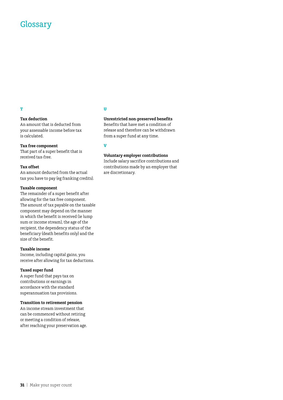## **Glossary**

#### **T**

#### **Tax deduction**

An amount that is deducted from your assessable income before tax is calculated.

#### **Tax free component**

That part of a super benefit that is received tax-free.

#### **Tax offset**

An amount deducted from the actual tax you have to pay (eg franking credits).

#### **Taxable component**

The remainder of a super benefit after allowing for the tax free component. The amount of tax payable on the taxable component may depend on the manner in which the benefit is received (ie lump sum or income stream), the age of the recipient, the dependency status of the beneficiary (death benefits only) and the size of the benefit.

#### **Taxable income**

Income, including capital gains, you receive after allowing for tax deductions.

#### **Taxed super fund**

A super fund that pays tax on contributions or earnings in accordance with the standard superannuation tax provisions.

#### **Transition to retirement pension**

An income stream investment that can be commenced without retiring or meeting a condition of release, after reaching your preservation age.

#### **U**

#### **Unrestricted non-preserved benefits**

Benefits that have met a condition of release and therefore can be withdrawn from a super fund at any time.

#### **V**

#### **Voluntary employer contributions**

Include salary sacrifice contributions and contributions made by an employer that are discretionary.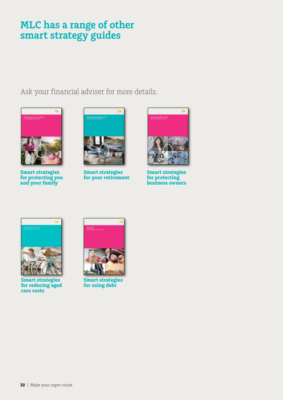# **MLC has a range of other smart strategy guides**

Ask your financial adviser for more details.



**Smart strategies for protecting you and your family**



**Smart strategies for your retirement**



**Smart strategies for protecting business owners**



**Smart strategies for reducing aged care costs**



**Smart strategies for using debt**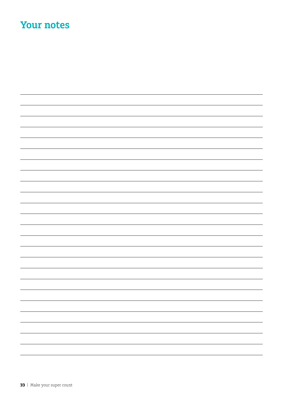# **Your notes**

| — |
|---|
| — |
| - |
|   |
|   |